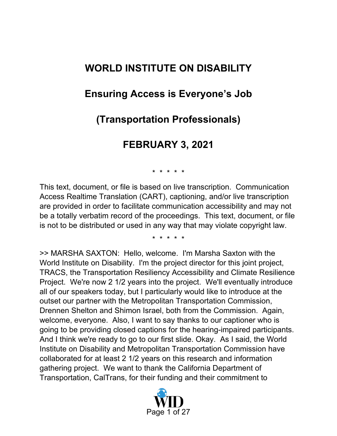# **WORLD INSTITUTE ON DISABILITY**

## **Ensuring Access is Everyone's Job**

## **(Transportation Professionals)**

## **FEBRUARY 3, 2021**

\* \* \* \* \*

This text, document, or file is based on live transcription. Communication Access Realtime Translation (CART), captioning, and/or live transcription are provided in order to facilitate communication accessibility and may not be a totally verbatim record of the proceedings. This text, document, or file is not to be distributed or used in any way that may violate copyright law.

\* \* \* \* \*

>> MARSHA SAXTON: Hello, welcome. I'm Marsha Saxton with the World Institute on Disability. I'm the project director for this joint project, TRACS, the Transportation Resiliency Accessibility and Climate Resilience Project. We're now 2 1/2 years into the project. We'll eventually introduce all of our speakers today, but I particularly would like to introduce at the outset our partner with the Metropolitan Transportation Commission, Drennen Shelton and Shimon Israel, both from the Commission. Again, welcome, everyone. Also, I want to say thanks to our captioner who is going to be providing closed captions for the hearing-impaired participants. And I think we're ready to go to our first slide. Okay. As I said, the World Institute on Disability and Metropolitan Transportation Commission have collaborated for at least 2 1/2 years on this research and information gathering project. We want to thank the California Department of Transportation, CalTrans, for their funding and their commitment to

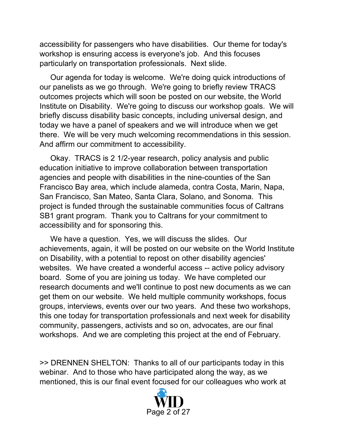accessibility for passengers who have disabilities. Our theme for today's workshop is ensuring access is everyone's job. And this focuses particularly on transportation professionals. Next slide.

 Our agenda for today is welcome. We're doing quick introductions of our panelists as we go through. We're going to briefly review TRACS outcomes projects which will soon be posted on our website, the World Institute on Disability. We're going to discuss our workshop goals. We will briefly discuss disability basic concepts, including universal design, and today we have a panel of speakers and we will introduce when we get there. We will be very much welcoming recommendations in this session. And affirm our commitment to accessibility.

 Okay. TRACS is 2 1/2-year research, policy analysis and public education initiative to improve collaboration between transportation agencies and people with disabilities in the nine-counties of the San Francisco Bay area, which include alameda, contra Costa, Marin, Napa, San Francisco, San Mateo, Santa Clara, Solano, and Sonoma. This project is funded through the sustainable communities focus of Caltrans SB1 grant program. Thank you to Caltrans for your commitment to accessibility and for sponsoring this.

 We have a question. Yes, we will discuss the slides. Our achievements, again, it will be posted on our website on the World Institute on Disability, with a potential to repost on other disability agencies' websites. We have created a wonderful access -- active policy advisory board. Some of you are joining us today. We have completed our research documents and we'll continue to post new documents as we can get them on our website. We held multiple community workshops, focus groups, interviews, events over our two years. And these two workshops, this one today for transportation professionals and next week for disability community, passengers, activists and so on, advocates, are our final workshops. And we are completing this project at the end of February.

>> DRENNEN SHELTON: Thanks to all of our participants today in this webinar. And to those who have participated along the way, as we mentioned, this is our final event focused for our colleagues who work at

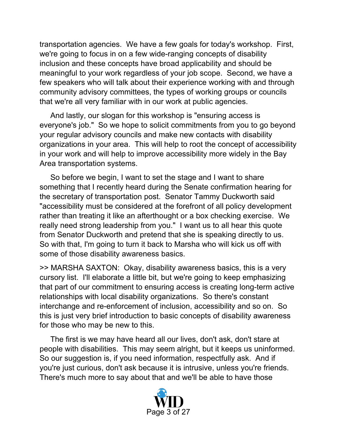transportation agencies. We have a few goals for today's workshop. First, we're going to focus in on a few wide-ranging concepts of disability inclusion and these concepts have broad applicability and should be meaningful to your work regardless of your job scope. Second, we have a few speakers who will talk about their experience working with and through community advisory committees, the types of working groups or councils that we're all very familiar with in our work at public agencies.

 And lastly, our slogan for this workshop is "ensuring access is everyone's job." So we hope to solicit commitments from you to go beyond your regular advisory councils and make new contacts with disability organizations in your area. This will help to root the concept of accessibility in your work and will help to improve accessibility more widely in the Bay Area transportation systems.

 So before we begin, I want to set the stage and I want to share something that I recently heard during the Senate confirmation hearing for the secretary of transportation post. Senator Tammy Duckworth said "accessibility must be considered at the forefront of all policy development rather than treating it like an afterthought or a box checking exercise. We really need strong leadership from you." I want us to all hear this quote from Senator Duckworth and pretend that she is speaking directly to us. So with that, I'm going to turn it back to Marsha who will kick us off with some of those disability awareness basics.

>> MARSHA SAXTON: Okay, disability awareness basics, this is a very cursory list. I'll elaborate a little bit, but we're going to keep emphasizing that part of our commitment to ensuring access is creating long-term active relationships with local disability organizations. So there's constant interchange and re-enforcement of inclusion, accessibility and so on. So this is just very brief introduction to basic concepts of disability awareness for those who may be new to this.

 The first is we may have heard all our lives, don't ask, don't stare at people with disabilities. This may seem alright, but it keeps us uninformed. So our suggestion is, if you need information, respectfully ask. And if you're just curious, don't ask because it is intrusive, unless you're friends. There's much more to say about that and we'll be able to have those

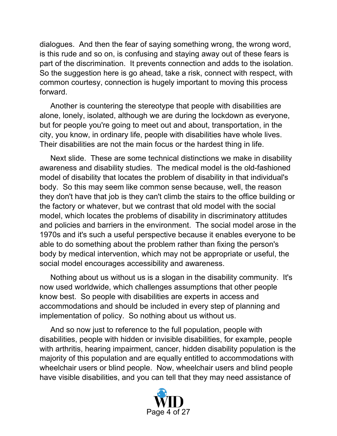dialogues. And then the fear of saying something wrong, the wrong word, is this rude and so on, is confusing and staying away out of these fears is part of the discrimination. It prevents connection and adds to the isolation. So the suggestion here is go ahead, take a risk, connect with respect, with common courtesy, connection is hugely important to moving this process forward.

 Another is countering the stereotype that people with disabilities are alone, lonely, isolated, although we are during the lockdown as everyone, but for people you're going to meet out and about, transportation, in the city, you know, in ordinary life, people with disabilities have whole lives. Their disabilities are not the main focus or the hardest thing in life.

 Next slide. These are some technical distinctions we make in disability awareness and disability studies. The medical model is the old-fashioned model of disability that locates the problem of disability in that individual's body. So this may seem like common sense because, well, the reason they don't have that job is they can't climb the stairs to the office building or the factory or whatever, but we contrast that old model with the social model, which locates the problems of disability in discriminatory attitudes and policies and barriers in the environment. The social model arose in the 1970s and it's such a useful perspective because it enables everyone to be able to do something about the problem rather than fixing the person's body by medical intervention, which may not be appropriate or useful, the social model encourages accessibility and awareness.

 Nothing about us without us is a slogan in the disability community. It's now used worldwide, which challenges assumptions that other people know best. So people with disabilities are experts in access and accommodations and should be included in every step of planning and implementation of policy. So nothing about us without us.

 And so now just to reference to the full population, people with disabilities, people with hidden or invisible disabilities, for example, people with arthritis, hearing impairment, cancer, hidden disability population is the majority of this population and are equally entitled to accommodations with wheelchair users or blind people. Now, wheelchair users and blind people have visible disabilities, and you can tell that they may need assistance of

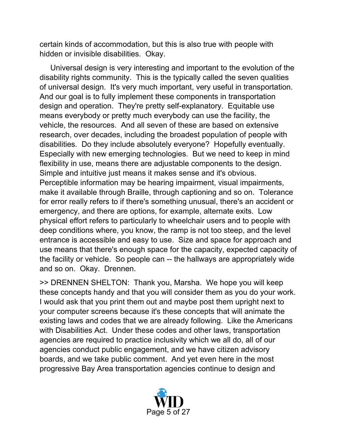certain kinds of accommodation, but this is also true with people with hidden or invisible disabilities. Okay.

 Universal design is very interesting and important to the evolution of the disability rights community. This is the typically called the seven qualities of universal design. It's very much important, very useful in transportation. And our goal is to fully implement these components in transportation design and operation. They're pretty self-explanatory. Equitable use means everybody or pretty much everybody can use the facility, the vehicle, the resources. And all seven of these are based on extensive research, over decades, including the broadest population of people with disabilities. Do they include absolutely everyone? Hopefully eventually. Especially with new emerging technologies. But we need to keep in mind flexibility in use, means there are adjustable components to the design. Simple and intuitive just means it makes sense and it's obvious. Perceptible information may be hearing impairment, visual impairments, make it available through Braille, through captioning and so on. Tolerance for error really refers to if there's something unusual, there's an accident or emergency, and there are options, for example, alternate exits. Low physical effort refers to particularly to wheelchair users and to people with deep conditions where, you know, the ramp is not too steep, and the level entrance is accessible and easy to use. Size and space for approach and use means that there's enough space for the capacity, expected capacity of the facility or vehicle. So people can -- the hallways are appropriately wide and so on. Okay. Drennen.

>> DRENNEN SHELTON: Thank you, Marsha. We hope you will keep these concepts handy and that you will consider them as you do your work. I would ask that you print them out and maybe post them upright next to your computer screens because it's these concepts that will animate the existing laws and codes that we are already following. Like the Americans with Disabilities Act. Under these codes and other laws, transportation agencies are required to practice inclusivity which we all do, all of our agencies conduct public engagement, and we have citizen advisory boards, and we take public comment. And yet even here in the most progressive Bay Area transportation agencies continue to design and

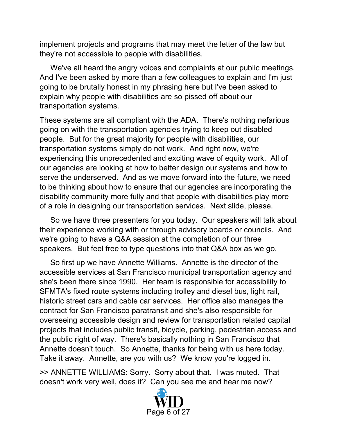implement projects and programs that may meet the letter of the law but they're not accessible to people with disabilities.

 We've all heard the angry voices and complaints at our public meetings. And I've been asked by more than a few colleagues to explain and I'm just going to be brutally honest in my phrasing here but I've been asked to explain why people with disabilities are so pissed off about our transportation systems.

These systems are all compliant with the ADA. There's nothing nefarious going on with the transportation agencies trying to keep out disabled people. But for the great majority for people with disabilities, our transportation systems simply do not work. And right now, we're experiencing this unprecedented and exciting wave of equity work. All of our agencies are looking at how to better design our systems and how to serve the underserved. And as we move forward into the future, we need to be thinking about how to ensure that our agencies are incorporating the disability community more fully and that people with disabilities play more of a role in designing our transportation services. Next slide, please.

 So we have three presenters for you today. Our speakers will talk about their experience working with or through advisory boards or councils. And we're going to have a Q&A session at the completion of our three speakers. But feel free to type questions into that Q&A box as we go.

 So first up we have Annette Williams. Annette is the director of the accessible services at San Francisco municipal transportation agency and she's been there since 1990. Her team is responsible for accessibility to SFMTA's fixed route systems including trolley and diesel bus, light rail, historic street cars and cable car services. Her office also manages the contract for San Francisco paratransit and she's also responsible for overseeing accessible design and review for transportation related capital projects that includes public transit, bicycle, parking, pedestrian access and the public right of way. There's basically nothing in San Francisco that Annette doesn't touch. So Annette, thanks for being with us here today. Take it away. Annette, are you with us? We know you're logged in.

>> ANNETTE WILLIAMS: Sorry. Sorry about that. I was muted. That doesn't work very well, does it? Can you see me and hear me now?

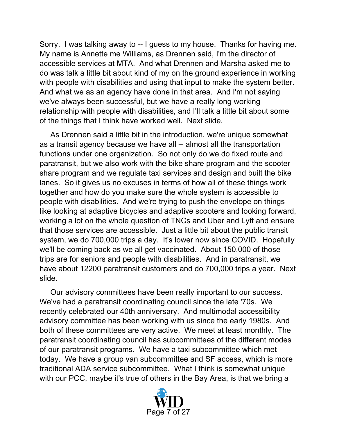Sorry. I was talking away to -- I guess to my house. Thanks for having me. My name is Annette me Williams, as Drennen said, I'm the director of accessible services at MTA. And what Drennen and Marsha asked me to do was talk a little bit about kind of my on the ground experience in working with people with disabilities and using that input to make the system better. And what we as an agency have done in that area. And I'm not saying we've always been successful, but we have a really long working relationship with people with disabilities, and I'll talk a little bit about some of the things that I think have worked well. Next slide.

 As Drennen said a little bit in the introduction, we're unique somewhat as a transit agency because we have all -- almost all the transportation functions under one organization. So not only do we do fixed route and paratransit, but we also work with the bike share program and the scooter share program and we regulate taxi services and design and built the bike lanes. So it gives us no excuses in terms of how all of these things work together and how do you make sure the whole system is accessible to people with disabilities. And we're trying to push the envelope on things like looking at adaptive bicycles and adaptive scooters and looking forward, working a lot on the whole question of TNCs and Uber and Lyft and ensure that those services are accessible. Just a little bit about the public transit system, we do 700,000 trips a day. It's lower now since COVID. Hopefully we'll be coming back as we all get vaccinated. About 150,000 of those trips are for seniors and people with disabilities. And in paratransit, we have about 12200 paratransit customers and do 700,000 trips a year. Next slide.

 Our advisory committees have been really important to our success. We've had a paratransit coordinating council since the late '70s. We recently celebrated our 40th anniversary. And multimodal accessibility advisory committee has been working with us since the early 1980s. And both of these committees are very active. We meet at least monthly. The paratransit coordinating council has subcommittees of the different modes of our paratransit programs. We have a taxi subcommittee which met today. We have a group van subcommittee and SF access, which is more traditional ADA service subcommittee. What I think is somewhat unique with our PCC, maybe it's true of others in the Bay Area, is that we bring a

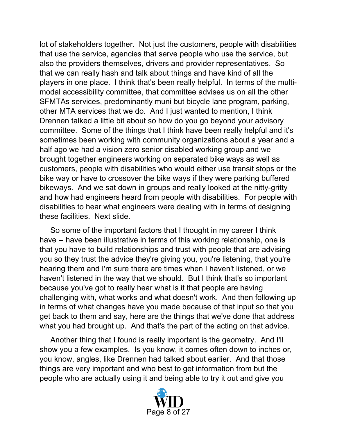lot of stakeholders together. Not just the customers, people with disabilities that use the service, agencies that serve people who use the service, but also the providers themselves, drivers and provider representatives. So that we can really hash and talk about things and have kind of all the players in one place. I think that's been really helpful. In terms of the multimodal accessibility committee, that committee advises us on all the other SFMTAs services, predominantly muni but bicycle lane program, parking, other MTA services that we do. And I just wanted to mention, I think Drennen talked a little bit about so how do you go beyond your advisory committee. Some of the things that I think have been really helpful and it's sometimes been working with community organizations about a year and a half ago we had a vision zero senior disabled working group and we brought together engineers working on separated bike ways as well as customers, people with disabilities who would either use transit stops or the bike way or have to crossover the bike ways if they were parking buffered bikeways. And we sat down in groups and really looked at the nitty-gritty and how had engineers heard from people with disabilities. For people with disabilities to hear what engineers were dealing with in terms of designing these facilities. Next slide.

 So some of the important factors that I thought in my career I think have -- have been illustrative in terms of this working relationship, one is that you have to build relationships and trust with people that are advising you so they trust the advice they're giving you, you're listening, that you're hearing them and I'm sure there are times when I haven't listened, or we haven't listened in the way that we should. But I think that's so important because you've got to really hear what is it that people are having challenging with, what works and what doesn't work. And then following up in terms of what changes have you made because of that input so that you get back to them and say, here are the things that we've done that address what you had brought up. And that's the part of the acting on that advice.

 Another thing that I found is really important is the geometry. And I'll show you a few examples. Is you know, it comes often down to inches or, you know, angles, like Drennen had talked about earlier. And that those things are very important and who best to get information from but the people who are actually using it and being able to try it out and give you

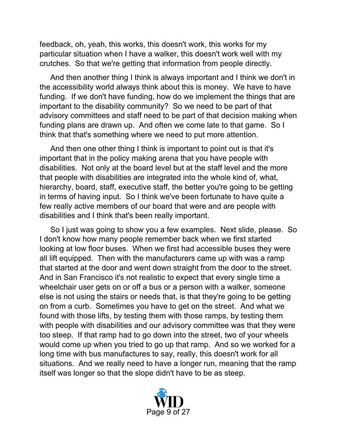feedback, oh, yeah, this works, this doesn't work, this works for my particular situation when I have a walker, this doesn't work well with my crutches. So that we're getting that information from people directly.

 And then another thing I think is always important and I think we don't in the accessibility world always think about this is money. We have to have funding. If we don't have funding, how do we implement the things that are important to the disability community? So we need to be part of that advisory committees and staff need to be part of that decision making when funding plans are drawn up. And often we come late to that game. So I think that that's something where we need to put more attention.

 And then one other thing I think is important to point out is that it's important that in the policy making arena that you have people with disabilities. Not only at the board level but at the staff level and the more that people with disabilities are integrated into the whole kind of, what, hierarchy, board, staff, executive staff, the better you're going to be getting in terms of having input. So I think we've been fortunate to have quite a few really active members of our board that were and are people with disabilities and I think that's been really important.

 So I just was going to show you a few examples. Next slide, please. So I don't know how many people remember back when we first started looking at low floor buses. When we first had accessible buses they were all lift equipped. Then with the manufacturers came up with was a ramp that started at the door and went down straight from the door to the street. And in San Francisco it's not realistic to expect that every single time a wheelchair user gets on or off a bus or a person with a walker, someone else is not using the stairs or needs that, is that they're going to be getting on from a curb. Sometimes you have to get on the street. And what we found with those lifts, by testing them with those ramps, by testing them with people with disabilities and our advisory committee was that they were too steep. If that ramp had to go down into the street, two of your wheels would come up when you tried to go up that ramp. And so we worked for a long time with bus manufactures to say, really, this doesn't work for all situations. And we really need to have a longer run, meaning that the ramp itself was longer so that the slope didn't have to be as steep.

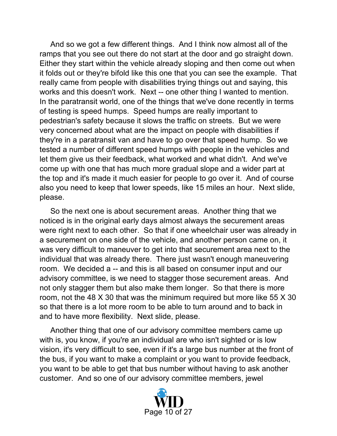And so we got a few different things. And I think now almost all of the ramps that you see out there do not start at the door and go straight down. Either they start within the vehicle already sloping and then come out when it folds out or they're bifold like this one that you can see the example. That really came from people with disabilities trying things out and saying, this works and this doesn't work. Next -- one other thing I wanted to mention. In the paratransit world, one of the things that we've done recently in terms of testing is speed humps. Speed humps are really important to pedestrian's safety because it slows the traffic on streets. But we were very concerned about what are the impact on people with disabilities if they're in a paratransit van and have to go over that speed hump. So we tested a number of different speed humps with people in the vehicles and let them give us their feedback, what worked and what didn't. And we've come up with one that has much more gradual slope and a wider part at the top and it's made it much easier for people to go over it. And of course also you need to keep that lower speeds, like 15 miles an hour. Next slide, please.

 So the next one is about securement areas. Another thing that we noticed is in the original early days almost always the securement areas were right next to each other. So that if one wheelchair user was already in a securement on one side of the vehicle, and another person came on, it was very difficult to maneuver to get into that securement area next to the individual that was already there. There just wasn't enough maneuvering room. We decided a -- and this is all based on consumer input and our advisory committee, is we need to stagger those securement areas. And not only stagger them but also make them longer. So that there is more room, not the 48 X 30 that was the minimum required but more like 55 X 30 so that there is a lot more room to be able to turn around and to back in and to have more flexibility. Next slide, please.

 Another thing that one of our advisory committee members came up with is, you know, if you're an individual are who isn't sighted or is low vision, it's very difficult to see, even if it's a large bus number at the front of the bus, if you want to make a complaint or you want to provide feedback, you want to be able to get that bus number without having to ask another customer. And so one of our advisory committee members, jewel

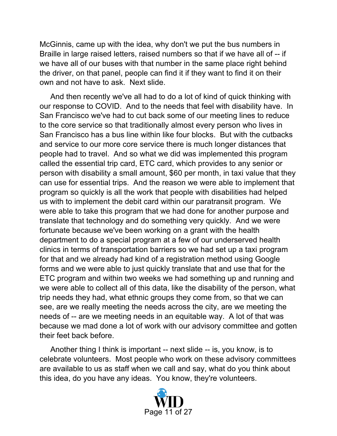McGinnis, came up with the idea, why don't we put the bus numbers in Braille in large raised letters, raised numbers so that if we have all of -- if we have all of our buses with that number in the same place right behind the driver, on that panel, people can find it if they want to find it on their own and not have to ask. Next slide.

 And then recently we've all had to do a lot of kind of quick thinking with our response to COVID. And to the needs that feel with disability have. In San Francisco we've had to cut back some of our meeting lines to reduce to the core service so that traditionally almost every person who lives in San Francisco has a bus line within like four blocks. But with the cutbacks and service to our more core service there is much longer distances that people had to travel. And so what we did was implemented this program called the essential trip card, ETC card, which provides to any senior or person with disability a small amount, \$60 per month, in taxi value that they can use for essential trips. And the reason we were able to implement that program so quickly is all the work that people with disabilities had helped us with to implement the debit card within our paratransit program. We were able to take this program that we had done for another purpose and translate that technology and do something very quickly. And we were fortunate because we've been working on a grant with the health department to do a special program at a few of our underserved health clinics in terms of transportation barriers so we had set up a taxi program for that and we already had kind of a registration method using Google forms and we were able to just quickly translate that and use that for the ETC program and within two weeks we had something up and running and we were able to collect all of this data, like the disability of the person, what trip needs they had, what ethnic groups they come from, so that we can see, are we really meeting the needs across the city, are we meeting the needs of -- are we meeting needs in an equitable way. A lot of that was because we mad done a lot of work with our advisory committee and gotten their feet back before.

 Another thing I think is important -- next slide -- is, you know, is to celebrate volunteers. Most people who work on these advisory committees are available to us as staff when we call and say, what do you think about this idea, do you have any ideas. You know, they're volunteers.

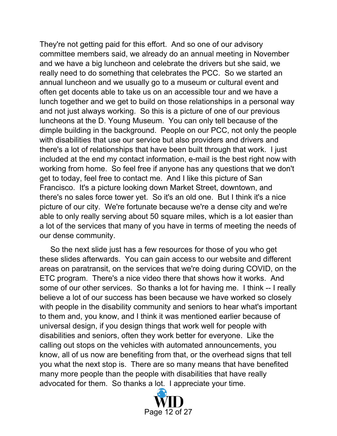They're not getting paid for this effort. And so one of our advisory committee members said, we already do an annual meeting in November and we have a big luncheon and celebrate the drivers but she said, we really need to do something that celebrates the PCC. So we started an annual luncheon and we usually go to a museum or cultural event and often get docents able to take us on an accessible tour and we have a lunch together and we get to build on those relationships in a personal way and not just always working. So this is a picture of one of our previous luncheons at the D. Young Museum. You can only tell because of the dimple building in the background. People on our PCC, not only the people with disabilities that use our service but also providers and drivers and there's a lot of relationships that have been built through that work. I just included at the end my contact information, e-mail is the best right now with working from home. So feel free if anyone has any questions that we don't get to today, feel free to contact me. And I like this picture of San Francisco. It's a picture looking down Market Street, downtown, and there's no sales force tower yet. So it's an old one. But I think it's a nice picture of our city. We're fortunate because we're a dense city and we're able to only really serving about 50 square miles, which is a lot easier than a lot of the services that many of you have in terms of meeting the needs of our dense community.

 So the next slide just has a few resources for those of you who get these slides afterwards. You can gain access to our website and different areas on paratransit, on the services that we're doing during COVID, on the ETC program. There's a nice video there that shows how it works. And some of our other services. So thanks a lot for having me. I think -- I really believe a lot of our success has been because we have worked so closely with people in the disability community and seniors to hear what's important to them and, you know, and I think it was mentioned earlier because of universal design, if you design things that work well for people with disabilities and seniors, often they work better for everyone. Like the calling out stops on the vehicles with automated announcements, you know, all of us now are benefiting from that, or the overhead signs that tell you what the next stop is. There are so many means that have benefited many more people than the people with disabilities that have really advocated for them. So thanks a lot. I appreciate your time.

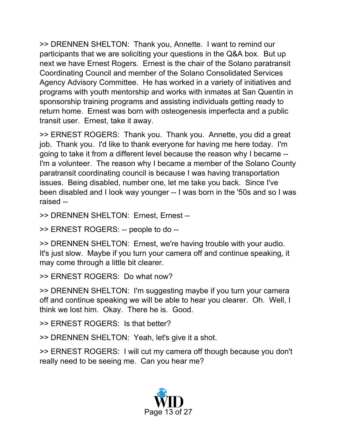>> DRENNEN SHELTON: Thank you, Annette. I want to remind our participants that we are soliciting your questions in the Q&A box. But up next we have Ernest Rogers. Ernest is the chair of the Solano paratransit Coordinating Council and member of the Solano Consolidated Services Agency Advisory Committee. He has worked in a variety of initiatives and programs with youth mentorship and works with inmates at San Quentin in sponsorship training programs and assisting individuals getting ready to return home. Ernest was born with osteogenesis imperfecta and a public transit user. Ernest, take it away.

>> ERNEST ROGERS: Thank you. Thank you. Annette, you did a great job. Thank you. I'd like to thank everyone for having me here today. I'm going to take it from a different level because the reason why I became -- I'm a volunteer. The reason why I became a member of the Solano County paratransit coordinating council is because I was having transportation issues. Being disabled, number one, let me take you back. Since I've been disabled and I look way younger -- I was born in the '50s and so I was raised --

>> DRENNEN SHELTON: Ernest, Ernest --

>> ERNEST ROGERS: -- people to do --

>> DRENNEN SHELTON: Ernest, we're having trouble with your audio. It's just slow. Maybe if you turn your camera off and continue speaking, it may come through a little bit clearer.

>> ERNEST ROGERS: Do what now?

>> DRENNEN SHELTON: I'm suggesting maybe if you turn your camera off and continue speaking we will be able to hear you clearer. Oh. Well, I think we lost him. Okay. There he is. Good.

>> ERNEST ROGERS: Is that better?

>> DRENNEN SHELTON: Yeah, let's give it a shot.

>> ERNEST ROGERS: I will cut my camera off though because you don't really need to be seeing me. Can you hear me?

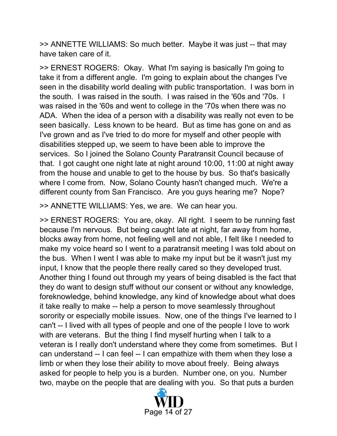>> ANNETTE WILLIAMS: So much better. Maybe it was just -- that may have taken care of it.

>> ERNEST ROGERS: Okay. What I'm saying is basically I'm going to take it from a different angle. I'm going to explain about the changes I've seen in the disability world dealing with public transportation. I was born in the south. I was raised in the south. I was raised in the '60s and '70s. I was raised in the '60s and went to college in the '70s when there was no ADA. When the idea of a person with a disability was really not even to be seen basically. Less known to be heard. But as time has gone on and as I've grown and as I've tried to do more for myself and other people with disabilities stepped up, we seem to have been able to improve the services. So I joined the Solano County Paratransit Council because of that. I got caught one night late at night around 10:00, 11:00 at night away from the house and unable to get to the house by bus. So that's basically where I come from. Now, Solano County hasn't changed much. We're a different county from San Francisco. Are you guys hearing me? Nope?

>> ANNETTE WILLIAMS: Yes, we are. We can hear you.

>> ERNEST ROGERS: You are, okay. All right. I seem to be running fast because I'm nervous. But being caught late at night, far away from home, blocks away from home, not feeling well and not able, I felt like I needed to make my voice heard so I went to a paratransit meeting I was told about on the bus. When I went I was able to make my input but be it wasn't just my input, I know that the people there really cared so they developed trust. Another thing I found out through my years of being disabled is the fact that they do want to design stuff without our consent or without any knowledge, foreknowledge, behind knowledge, any kind of knowledge about what does it take really to make -- help a person to move seamlessly throughout sorority or especially mobile issues. Now, one of the things I've learned to I can't -- I lived with all types of people and one of the people I love to work with are veterans. But the thing I find myself hurting when I talk to a veteran is I really don't understand where they come from sometimes. But I can understand -- I can feel -- I can empathize with them when they lose a limb or when they lose their ability to move about freely. Being always asked for people to help you is a burden. Number one, on you. Number two, maybe on the people that are dealing with you. So that puts a burden

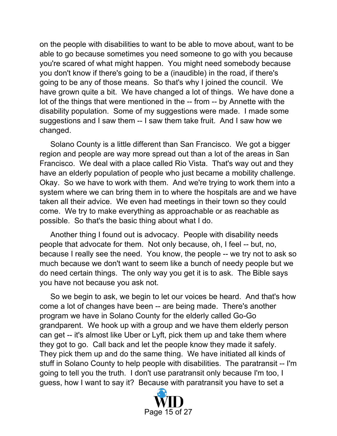on the people with disabilities to want to be able to move about, want to be able to go because sometimes you need someone to go with you because you're scared of what might happen. You might need somebody because you don't know if there's going to be a (inaudible) in the road, if there's going to be any of those means. So that's why I joined the council. We have grown quite a bit. We have changed a lot of things. We have done a lot of the things that were mentioned in the -- from -- by Annette with the disability population. Some of my suggestions were made. I made some suggestions and I saw them -- I saw them take fruit. And I saw how we changed.

 Solano County is a little different than San Francisco. We got a bigger region and people are way more spread out than a lot of the areas in San Francisco. We deal with a place called Rio Vista. That's way out and they have an elderly population of people who just became a mobility challenge. Okay. So we have to work with them. And we're trying to work them into a system where we can bring them in to where the hospitals are and we have taken all their advice. We even had meetings in their town so they could come. We try to make everything as approachable or as reachable as possible. So that's the basic thing about what I do.

 Another thing I found out is advocacy. People with disability needs people that advocate for them. Not only because, oh, I feel -- but, no, because I really see the need. You know, the people -- we try not to ask so much because we don't want to seem like a bunch of needy people but we do need certain things. The only way you get it is to ask. The Bible says you have not because you ask not.

 So we begin to ask, we begin to let our voices be heard. And that's how come a lot of changes have been -- are being made. There's another program we have in Solano County for the elderly called Go-Go grandparent. We hook up with a group and we have them elderly person can get -- it's almost like Uber or Lyft, pick them up and take them where they got to go. Call back and let the people know they made it safely. They pick them up and do the same thing. We have initiated all kinds of stuff in Solano County to help people with disabilities. The paratransit -- I'm going to tell you the truth. I don't use paratransit only because I'm too, I guess, how I want to say it? Because with paratransit you have to set a

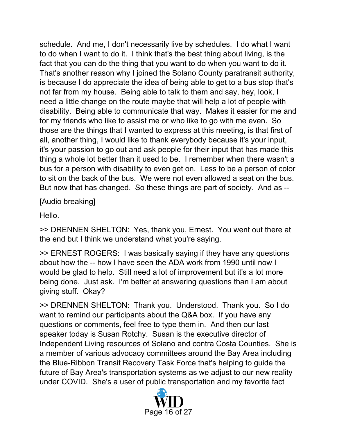schedule. And me, I don't necessarily live by schedules. I do what I want to do when I want to do it. I think that's the best thing about living, is the fact that you can do the thing that you want to do when you want to do it. That's another reason why I joined the Solano County paratransit authority, is because I do appreciate the idea of being able to get to a bus stop that's not far from my house. Being able to talk to them and say, hey, look, I need a little change on the route maybe that will help a lot of people with disability. Being able to communicate that way. Makes it easier for me and for my friends who like to assist me or who like to go with me even. So those are the things that I wanted to express at this meeting, is that first of all, another thing, I would like to thank everybody because it's your input, it's your passion to go out and ask people for their input that has made this thing a whole lot better than it used to be. I remember when there wasn't a bus for a person with disability to even get on. Less to be a person of color to sit on the back of the bus. We were not even allowed a seat on the bus. But now that has changed. So these things are part of society. And as --

[Audio breaking]

Hello.

>> DRENNEN SHELTON: Yes, thank you, Ernest. You went out there at the end but I think we understand what you're saying.

>> ERNEST ROGERS: I was basically saying if they have any questions about how the -- how I have seen the ADA work from 1990 until now I would be glad to help. Still need a lot of improvement but it's a lot more being done. Just ask. I'm better at answering questions than I am about giving stuff. Okay?

>> DRENNEN SHELTON: Thank you. Understood. Thank you. So I do want to remind our participants about the Q&A box. If you have any questions or comments, feel free to type them in. And then our last speaker today is Susan Rotchy. Susan is the executive director of Independent Living resources of Solano and contra Costa Counties. She is a member of various advocacy committees around the Bay Area including the Blue-Ribbon Transit Recovery Task Force that's helping to guide the future of Bay Area's transportation systems as we adjust to our new reality under COVID. She's a user of public transportation and my favorite fact

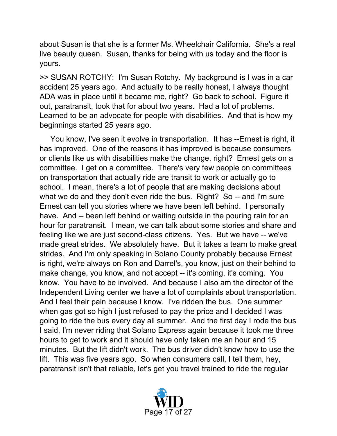about Susan is that she is a former Ms. Wheelchair California. She's a real live beauty queen. Susan, thanks for being with us today and the floor is yours.

>> SUSAN ROTCHY: I'm Susan Rotchy. My background is I was in a car accident 25 years ago. And actually to be really honest, I always thought ADA was in place until it became me, right? Go back to school. Figure it out, paratransit, took that for about two years. Had a lot of problems. Learned to be an advocate for people with disabilities. And that is how my beginnings started 25 years ago.

 You know, I've seen it evolve in transportation. It has --Ernest is right, it has improved. One of the reasons it has improved is because consumers or clients like us with disabilities make the change, right? Ernest gets on a committee. I get on a committee. There's very few people on committees on transportation that actually ride are transit to work or actually go to school. I mean, there's a lot of people that are making decisions about what we do and they don't even ride the bus. Right? So -- and I'm sure Ernest can tell you stories where we have been left behind. I personally have. And -- been left behind or waiting outside in the pouring rain for an hour for paratransit. I mean, we can talk about some stories and share and feeling like we are just second-class citizens. Yes. But we have -- we've made great strides. We absolutely have. But it takes a team to make great strides. And I'm only speaking in Solano County probably because Ernest is right, we're always on Ron and Darrel's, you know, just on their behind to make change, you know, and not accept -- it's coming, it's coming. You know. You have to be involved. And because I also am the director of the Independent Living center we have a lot of complaints about transportation. And I feel their pain because I know. I've ridden the bus. One summer when gas got so high I just refused to pay the price and I decided I was going to ride the bus every day all summer. And the first day I rode the bus I said, I'm never riding that Solano Express again because it took me three hours to get to work and it should have only taken me an hour and 15 minutes. But the lift didn't work. The bus driver didn't know how to use the lift. This was five years ago. So when consumers call, I tell them, hey, paratransit isn't that reliable, let's get you travel trained to ride the regular

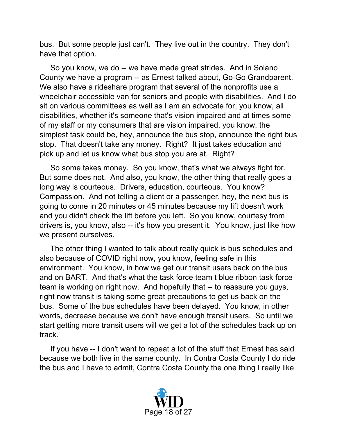bus. But some people just can't. They live out in the country. They don't have that option.

 So you know, we do -- we have made great strides. And in Solano County we have a program -- as Ernest talked about, Go-Go Grandparent. We also have a rideshare program that several of the nonprofits use a wheelchair accessible van for seniors and people with disabilities. And I do sit on various committees as well as I am an advocate for, you know, all disabilities, whether it's someone that's vision impaired and at times some of my staff or my consumers that are vision impaired, you know, the simplest task could be, hey, announce the bus stop, announce the right bus stop. That doesn't take any money. Right? It just takes education and pick up and let us know what bus stop you are at. Right?

 So some takes money. So you know, that's what we always fight for. But some does not. And also, you know, the other thing that really goes a long way is courteous. Drivers, education, courteous. You know? Compassion. And not telling a client or a passenger, hey, the next bus is going to come in 20 minutes or 45 minutes because my lift doesn't work and you didn't check the lift before you left. So you know, courtesy from drivers is, you know, also -- it's how you present it. You know, just like how we present ourselves.

 The other thing I wanted to talk about really quick is bus schedules and also because of COVID right now, you know, feeling safe in this environment. You know, in how we get our transit users back on the bus and on BART. And that's what the task force team t blue ribbon task force team is working on right now. And hopefully that -- to reassure you guys, right now transit is taking some great precautions to get us back on the bus. Some of the bus schedules have been delayed. You know, in other words, decrease because we don't have enough transit users. So until we start getting more transit users will we get a lot of the schedules back up on track.

 If you have -- I don't want to repeat a lot of the stuff that Ernest has said because we both live in the same county. In Contra Costa County I do ride the bus and I have to admit, Contra Costa County the one thing I really like

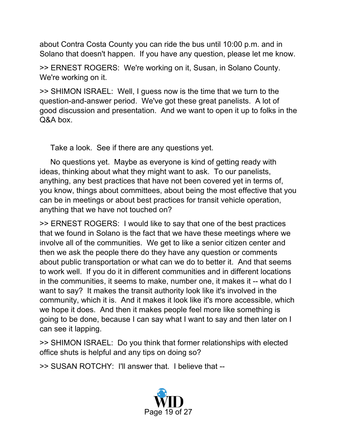about Contra Costa County you can ride the bus until 10:00 p.m. and in Solano that doesn't happen. If you have any question, please let me know.

>> ERNEST ROGERS: We're working on it, Susan, in Solano County. We're working on it.

>> SHIMON ISRAEL: Well, I guess now is the time that we turn to the question-and-answer period. We've got these great panelists. A lot of good discussion and presentation. And we want to open it up to folks in the Q&A box.

Take a look. See if there are any questions yet.

 No questions yet. Maybe as everyone is kind of getting ready with ideas, thinking about what they might want to ask. To our panelists, anything, any best practices that have not been covered yet in terms of, you know, things about committees, about being the most effective that you can be in meetings or about best practices for transit vehicle operation, anything that we have not touched on?

>> ERNEST ROGERS: I would like to say that one of the best practices that we found in Solano is the fact that we have these meetings where we involve all of the communities. We get to like a senior citizen center and then we ask the people there do they have any question or comments about public transportation or what can we do to better it. And that seems to work well. If you do it in different communities and in different locations in the communities, it seems to make, number one, it makes it -- what do I want to say? It makes the transit authority look like it's involved in the community, which it is. And it makes it look like it's more accessible, which we hope it does. And then it makes people feel more like something is going to be done, because I can say what I want to say and then later on I can see it lapping.

>> SHIMON ISRAEL: Do you think that former relationships with elected office shuts is helpful and any tips on doing so?

>> SUSAN ROTCHY: I'll answer that. I believe that --

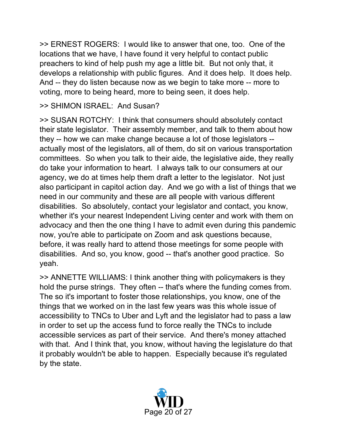>> ERNEST ROGERS: I would like to answer that one, too. One of the locations that we have, I have found it very helpful to contact public preachers to kind of help push my age a little bit. But not only that, it develops a relationship with public figures. And it does help. It does help. And -- they do listen because now as we begin to take more -- more to voting, more to being heard, more to being seen, it does help.

#### >> SHIMON ISRAEL: And Susan?

>> SUSAN ROTCHY: I think that consumers should absolutely contact their state legislator. Their assembly member, and talk to them about how they -- how we can make change because a lot of those legislators - actually most of the legislators, all of them, do sit on various transportation committees. So when you talk to their aide, the legislative aide, they really do take your information to heart. I always talk to our consumers at our agency, we do at times help them draft a letter to the legislator. Not just also participant in capitol action day. And we go with a list of things that we need in our community and these are all people with various different disabilities. So absolutely, contact your legislator and contact, you know, whether it's your nearest Independent Living center and work with them on advocacy and then the one thing I have to admit even during this pandemic now, you're able to participate on Zoom and ask questions because, before, it was really hard to attend those meetings for some people with disabilities. And so, you know, good -- that's another good practice. So yeah.

>> ANNETTE WILLIAMS: I think another thing with policymakers is they hold the purse strings. They often -- that's where the funding comes from. The so it's important to foster those relationships, you know, one of the things that we worked on in the last few years was this whole issue of accessibility to TNCs to Uber and Lyft and the legislator had to pass a law in order to set up the access fund to force really the TNCs to include accessible services as part of their service. And there's money attached with that. And I think that, you know, without having the legislature do that it probably wouldn't be able to happen. Especially because it's regulated by the state.

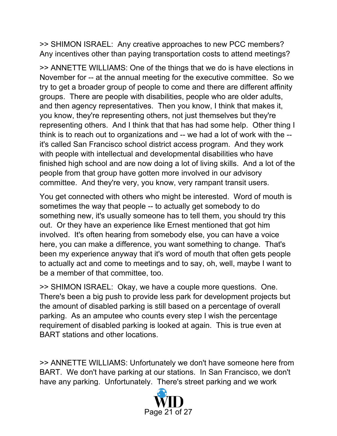>> SHIMON ISRAEL: Any creative approaches to new PCC members? Any incentives other than paying transportation costs to attend meetings?

>> ANNETTE WILLIAMS: One of the things that we do is have elections in November for -- at the annual meeting for the executive committee. So we try to get a broader group of people to come and there are different affinity groups. There are people with disabilities, people who are older adults, and then agency representatives. Then you know, I think that makes it, you know, they're representing others, not just themselves but they're representing others. And I think that that has had some help. Other thing I think is to reach out to organizations and -- we had a lot of work with the - it's called San Francisco school district access program. And they work with people with intellectual and developmental disabilities who have finished high school and are now doing a lot of living skills. And a lot of the people from that group have gotten more involved in our advisory committee. And they're very, you know, very rampant transit users.

You get connected with others who might be interested. Word of mouth is sometimes the way that people -- to actually get somebody to do something new, it's usually someone has to tell them, you should try this out. Or they have an experience like Ernest mentioned that got him involved. It's often hearing from somebody else, you can have a voice here, you can make a difference, you want something to change. That's been my experience anyway that it's word of mouth that often gets people to actually act and come to meetings and to say, oh, well, maybe I want to be a member of that committee, too.

>> SHIMON ISRAEL: Okay, we have a couple more questions. One. There's been a big push to provide less park for development projects but the amount of disabled parking is still based on a percentage of overall parking. As an amputee who counts every step I wish the percentage requirement of disabled parking is looked at again. This is true even at BART stations and other locations.

>> ANNETTE WILLIAMS: Unfortunately we don't have someone here from BART. We don't have parking at our stations. In San Francisco, we don't have any parking. Unfortunately. There's street parking and we work

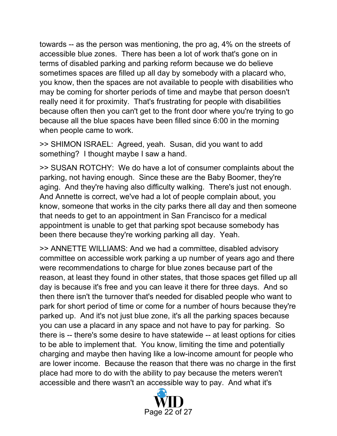towards -- as the person was mentioning, the pro ag, 4% on the streets of accessible blue zones. There has been a lot of work that's gone on in terms of disabled parking and parking reform because we do believe sometimes spaces are filled up all day by somebody with a placard who, you know, then the spaces are not available to people with disabilities who may be coming for shorter periods of time and maybe that person doesn't really need it for proximity. That's frustrating for people with disabilities because often then you can't get to the front door where you're trying to go because all the blue spaces have been filled since 6:00 in the morning when people came to work.

>> SHIMON ISRAEL: Agreed, yeah. Susan, did you want to add something? I thought maybe I saw a hand.

>> SUSAN ROTCHY: We do have a lot of consumer complaints about the parking, not having enough. Since these are the Baby Boomer, they're aging. And they're having also difficulty walking. There's just not enough. And Annette is correct, we've had a lot of people complain about, you know, someone that works in the city parks there all day and then someone that needs to get to an appointment in San Francisco for a medical appointment is unable to get that parking spot because somebody has been there because they're working parking all day. Yeah.

>> ANNETTE WILLIAMS: And we had a committee, disabled advisory committee on accessible work parking a up number of years ago and there were recommendations to charge for blue zones because part of the reason, at least they found in other states, that those spaces get filled up all day is because it's free and you can leave it there for three days. And so then there isn't the turnover that's needed for disabled people who want to park for short period of time or come for a number of hours because they're parked up. And it's not just blue zone, it's all the parking spaces because you can use a placard in any space and not have to pay for parking. So there is -- there's some desire to have statewide -- at least options for cities to be able to implement that. You know, limiting the time and potentially charging and maybe then having like a low-income amount for people who are lower income. Because the reason that there was no charge in the first place had more to do with the ability to pay because the meters weren't accessible and there wasn't an accessible way to pay. And what it's

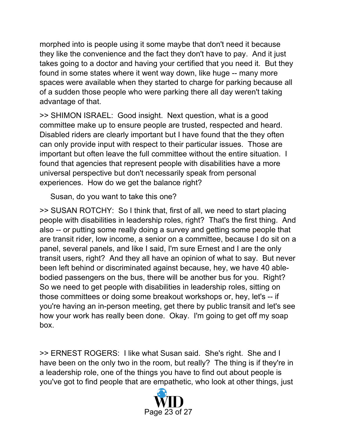morphed into is people using it some maybe that don't need it because they like the convenience and the fact they don't have to pay. And it just takes going to a doctor and having your certified that you need it. But they found in some states where it went way down, like huge -- many more spaces were available when they started to charge for parking because all of a sudden those people who were parking there all day weren't taking advantage of that.

>> SHIMON ISRAEL: Good insight. Next question, what is a good committee make up to ensure people are trusted, respected and heard. Disabled riders are clearly important but I have found that the they often can only provide input with respect to their particular issues. Those are important but often leave the full committee without the entire situation. I found that agencies that represent people with disabilities have a more universal perspective but don't necessarily speak from personal experiences. How do we get the balance right?

Susan, do you want to take this one?

>> SUSAN ROTCHY: So I think that, first of all, we need to start placing people with disabilities in leadership roles, right? That's the first thing. And also -- or putting some really doing a survey and getting some people that are transit rider, low income, a senior on a committee, because I do sit on a panel, several panels, and like I said, I'm sure Ernest and I are the only transit users, right? And they all have an opinion of what to say. But never been left behind or discriminated against because, hey, we have 40 ablebodied passengers on the bus, there will be another bus for you. Right? So we need to get people with disabilities in leadership roles, sitting on those committees or doing some breakout workshops or, hey, let's -- if you're having an in-person meeting, get there by public transit and let's see how your work has really been done. Okay. I'm going to get off my soap box.

>> ERNEST ROGERS: I like what Susan said. She's right. She and I have been on the only two in the room, but really? The thing is if they're in a leadership role, one of the things you have to find out about people is you've got to find people that are empathetic, who look at other things, just

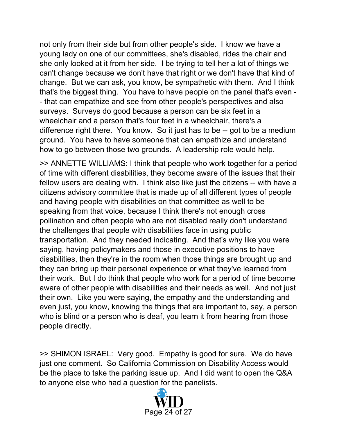not only from their side but from other people's side. I know we have a young lady on one of our committees, she's disabled, rides the chair and she only looked at it from her side. I be trying to tell her a lot of things we can't change because we don't have that right or we don't have that kind of change. But we can ask, you know, be sympathetic with them. And I think that's the biggest thing. You have to have people on the panel that's even - - that can empathize and see from other people's perspectives and also surveys. Surveys do good because a person can be six feet in a wheelchair and a person that's four feet in a wheelchair, there's a difference right there. You know. So it just has to be -- got to be a medium ground. You have to have someone that can empathize and understand how to go between those two grounds. A leadership role would help.

>> ANNETTE WILLIAMS: I think that people who work together for a period of time with different disabilities, they become aware of the issues that their fellow users are dealing with. I think also like just the citizens -- with have a citizens advisory committee that is made up of all different types of people and having people with disabilities on that committee as well to be speaking from that voice, because I think there's not enough cross pollination and often people who are not disabled really don't understand the challenges that people with disabilities face in using public transportation. And they needed indicating. And that's why like you were saying, having policymakers and those in executive positions to have disabilities, then they're in the room when those things are brought up and they can bring up their personal experience or what they've learned from their work. But I do think that people who work for a period of time become aware of other people with disabilities and their needs as well. And not just their own. Like you were saying, the empathy and the understanding and even just, you know, knowing the things that are important to, say, a person who is blind or a person who is deaf, you learn it from hearing from those people directly.

>> SHIMON ISRAEL: Very good. Empathy is good for sure. We do have just one comment. So California Commission on Disability Access would be the place to take the parking issue up. And I did want to open the Q&A to anyone else who had a question for the panelists.

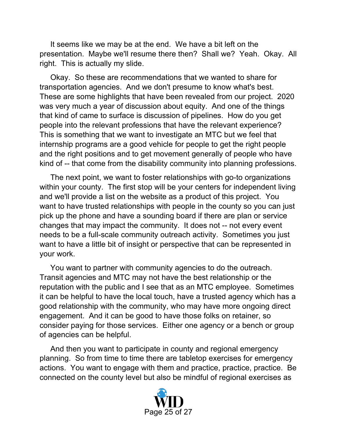It seems like we may be at the end. We have a bit left on the presentation. Maybe we'll resume there then? Shall we? Yeah. Okay. All right. This is actually my slide.

 Okay. So these are recommendations that we wanted to share for transportation agencies. And we don't presume to know what's best. These are some highlights that have been revealed from our project. 2020 was very much a year of discussion about equity. And one of the things that kind of came to surface is discussion of pipelines. How do you get people into the relevant professions that have the relevant experience? This is something that we want to investigate an MTC but we feel that internship programs are a good vehicle for people to get the right people and the right positions and to get movement generally of people who have kind of -- that come from the disability community into planning professions.

 The next point, we want to foster relationships with go-to organizations within your county. The first stop will be your centers for independent living and we'll provide a list on the website as a product of this project. You want to have trusted relationships with people in the county so you can just pick up the phone and have a sounding board if there are plan or service changes that may impact the community. It does not -- not every event needs to be a full-scale community outreach activity. Sometimes you just want to have a little bit of insight or perspective that can be represented in your work.

 You want to partner with community agencies to do the outreach. Transit agencies and MTC may not have the best relationship or the reputation with the public and I see that as an MTC employee. Sometimes it can be helpful to have the local touch, have a trusted agency which has a good relationship with the community, who may have more ongoing direct engagement. And it can be good to have those folks on retainer, so consider paying for those services. Either one agency or a bench or group of agencies can be helpful.

 And then you want to participate in county and regional emergency planning. So from time to time there are tabletop exercises for emergency actions. You want to engage with them and practice, practice, practice. Be connected on the county level but also be mindful of regional exercises as

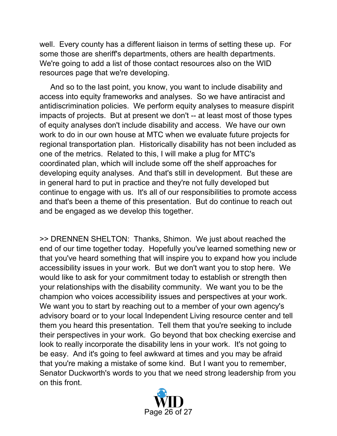well. Every county has a different liaison in terms of setting these up. For some those are sheriff's departments, others are health departments. We're going to add a list of those contact resources also on the WID resources page that we're developing.

 And so to the last point, you know, you want to include disability and access into equity frameworks and analyses. So we have antiracist and antidiscrimination policies. We perform equity analyses to measure dispirit impacts of projects. But at present we don't -- at least most of those types of equity analyses don't include disability and access. We have our own work to do in our own house at MTC when we evaluate future projects for regional transportation plan. Historically disability has not been included as one of the metrics. Related to this, I will make a plug for MTC's coordinated plan, which will include some off the shelf approaches for developing equity analyses. And that's still in development. But these are in general hard to put in practice and they're not fully developed but continue to engage with us. It's all of our responsibilities to promote access and that's been a theme of this presentation. But do continue to reach out and be engaged as we develop this together.

>> DRENNEN SHELTON: Thanks, Shimon. We just about reached the end of our time together today. Hopefully you've learned something new or that you've heard something that will inspire you to expand how you include accessibility issues in your work. But we don't want you to stop here. We would like to ask for your commitment today to establish or strength then your relationships with the disability community. We want you to be the champion who voices accessibility issues and perspectives at your work. We want you to start by reaching out to a member of your own agency's advisory board or to your local Independent Living resource center and tell them you heard this presentation. Tell them that you're seeking to include their perspectives in your work. Go beyond that box checking exercise and look to really incorporate the disability lens in your work. It's not going to be easy. And it's going to feel awkward at times and you may be afraid that you're making a mistake of some kind. But I want you to remember, Senator Duckworth's words to you that we need strong leadership from you on this front.